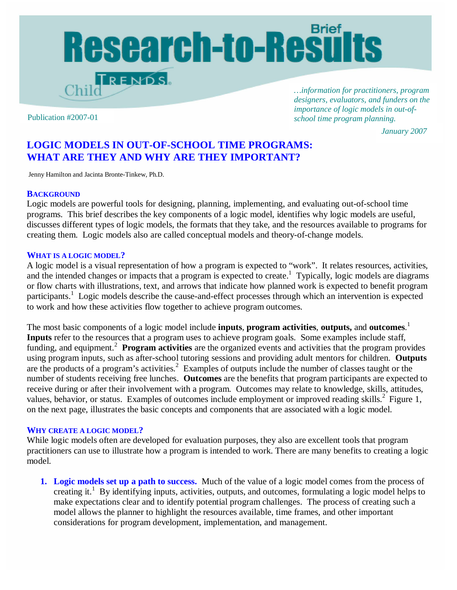# Research-to-Results TRENDS

*…information for practitioners, program designers, evaluators, and funders on the importance of logic models in out-ofschool time program planning.* Publication #2007-01

*January 2007*

# **LOGIC MODELS IN OUT-OF-SCHOOL TIME PROGRAMS: WHAT ARE THEY AND WHY ARE THEY IMPORTANT?**

Jenny Hamilton and Jacinta Bronte-Tinkew, Ph.D.

#### **BACKGROUND**

Logic models are powerful tools for designing, planning, implementing, and evaluating out-of-school time programs. This brief describes the key components of a logic model, identifies why logic models are useful, discusses different types of logic models, the formats that they take, and the resources available to programs for creating them. Logic models also are called conceptual models and theory-of-change models.

#### **WHAT IS A LOGIC MODEL?**

A logic model is a visual representation of how a program is expected to "work". It relates resources, activities, and the intended changes or impacts that a program is expected to create.<sup>1</sup> Typically, logic models are diagrams or flow charts with illustrations, text, and arrows that indicate how planned work is expected to benefit program participants.<sup>1</sup> Logic models describe the cause-and-effect processes through which an intervention is expected to work and how these activities flow together to achieve program outcomes.

The most basic components of a logic model include **inputs**, **program activities**, **outputs,** and **outcomes**. 1 **Inputs** refer to the resources that a program uses to achieve program goals. Some examples include staff, funding, and equipment.<sup>2</sup> Program activities are the organized events and activities that the program provides using program inputs, such as after-school tutoring sessions and providing adult mentors for children. **Outputs** are the products of a program's activities.<sup>2</sup> Examples of outputs include the number of classes taught or the number of students receiving free lunches. **Outcomes** are the benefits that program participants are expected to receive during or after their involvement with a program. Outcomes may relate to knowledge, skills, attitudes, values, behavior, or status. Examples of outcomes include employment or improved reading skills.<sup>2</sup> Figure 1, on the next page, illustrates the basic concepts and components that are associated with a logic model.

#### **WHY CREATE A LOGIC MODEL?**

While logic models often are developed for evaluation purposes, they also are excellent tools that program practitioners can use to illustrate how a program is intended to work. There are many benefits to creating a logic model.

**1. Logic models set up a path to success.** Much of the value of a logic model comes from the process of creating it.<sup>1</sup> By identifying inputs, activities, outputs, and outcomes, formulating a logic model helps to make expectations clear and to identify potential program challenges. The process of creating such a model allows the planner to highlight the resources available, time frames, and other important considerations for program development, implementation, and management.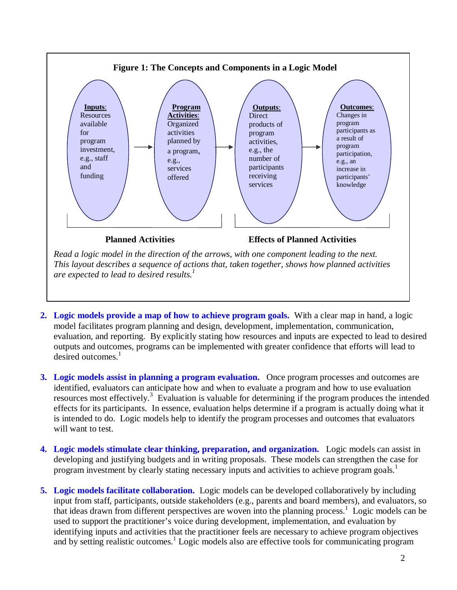

- **2. Logic models provide a map of how to achieve program goals.** With a clear map in hand, a logic model facilitates program planning and design, development, implementation, communication, evaluation, and reporting. By explicitly stating how resources and inputs are expected to lead to desired outputs and outcomes, programs can be implemented with greater confidence that efforts will lead to desired outcomes. $<sup>1</sup>$ </sup>
- **3. Logic models assist in planning a program evaluation.** Once program processes and outcomes are identified, evaluators can anticipate how and when to evaluate a program and how to use evaluation resources most effectively.<sup>3</sup> Evaluation is valuable for determining if the program produces the intended effects for its participants. In essence, evaluation helps determine if a program is actually doing what it is intended to do. Logic models help to identify the program processes and outcomes that evaluators will want to test.
- **4. Logic models stimulate clear thinking, preparation, and organization.** Logic models can assist in developing and justifying budgets and in writing proposals. These models can strengthen the case for program investment by clearly stating necessary inputs and activities to achieve program goals.<sup>1</sup>
- **5. Logic models facilitate collaboration.** Logic models can be developed collaboratively by including input from staff, participants, outside stakeholders (e.g., parents and board members), and evaluators, so that ideas drawn from different perspectives are woven into the planning process.<sup>1</sup> Logic models can be used to support the practitioner's voice during development, implementation, and evaluation by identifying inputs and activities that the practitioner feels are necessary to achieve program objectives and by setting realistic outcomes.<sup>1</sup> Logic models also are effective tools for communicating program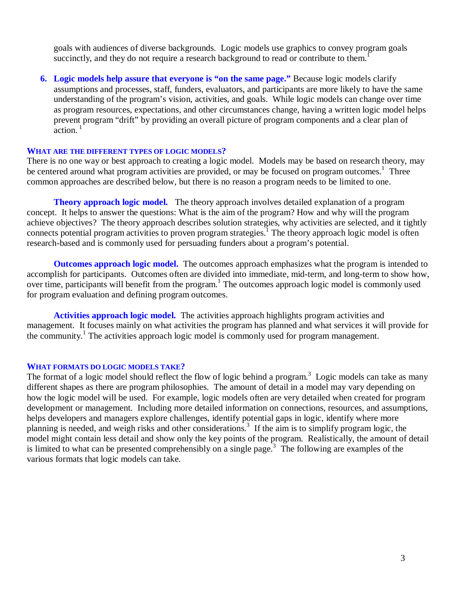goals with audiences of diverse backgrounds. Logic models use graphics to convey program goals succinctly, and they do not require a research background to read or contribute to them.<sup>1</sup>

**6. Logic models help assure that everyone is "on the same page."** Because logic models clarify assumptions and processes, staff, funders, evaluators, and participants are more likely to have the same understanding of the program's vision, activities, and goals. While logic models can change over time as program resources, expectations, and other circumstances change, having a written logic model helps prevent program "drift" by providing an overall picture of program components and a clear plan of  $\arctan^{-1}$ 

#### **WHAT ARE THE DIFFERENT TYPES OF LOGIC MODELS?**

There is no one way or best approach to creating a logic model. Models may be based on research theory, may be centered around what program activities are provided, or may be focused on program outcomes.<sup>1</sup> Three common approaches are described below, but there is no reason a program needs to be limited to one.

**Theory approach logic model.** The theory approach involves detailed explanation of a program concept. It helps to answer the questions: What is the aim of the program? How and why will the program achieve objectives? The theory approach describes solution strategies, why activities are selected, and it tightly connects potential program activities to proven program strategies.<sup>1</sup> The theory approach logic model is often research-based and is commonly used for persuading funders about a program's potential.

**Outcomes approach logic model.** The outcomes approach emphasizes what the program is intended to accomplish for participants. Outcomes often are divided into immediate, mid-term, and long-term to show how, over time, participants will benefit from the program.<sup>1</sup> The outcomes approach logic model is commonly used for program evaluation and defining program outcomes.

**Activities approach logic model.** The activities approach highlights program activities and management. It focuses mainly on what activities the program has planned and what services it will provide for the community.<sup>1</sup> The activities approach logic model is commonly used for program management.

#### **WHAT FORMATS DO LOGIC MODELS TAKE?**

The format of a logic model should reflect the flow of logic behind a program.<sup>3</sup> Logic models can take as many different shapes as there are program philosophies. The amount of detail in a model may vary depending on how the logic model will be used. For example, logic models often are very detailed when created for program development or management. Including more detailed information on connections, resources, and assumptions, helps developers and managers explore challenges, identify potential gaps in logic, identify where more planning is needed, and weigh risks and other considerations.<sup>3</sup> If the aim is to simplify program logic, the model might contain less detail and show only the key points of the program. Realistically, the amount of detail is limited to what can be presented comprehensibly on a single page.<sup>3</sup> The following are examples of the various formats that logic models can take.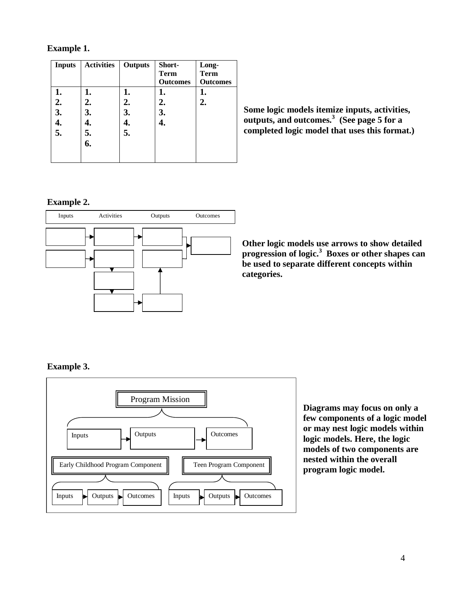## **Example 1.**

| <b>Inputs</b> | <b>Activities</b> | <b>Outputs</b> | Short-          | Long-           |
|---------------|-------------------|----------------|-----------------|-----------------|
|               |                   |                | <b>Term</b>     | <b>Term</b>     |
|               |                   |                | <b>Outcomes</b> | <b>Outcomes</b> |
| 1.            | 1.                | 1.             | 1.              | 1.              |
| 2.            | 2.                | 2.             | 2.              | 2.              |
| 3.            | 3.                | 3.             | 3.              |                 |
| 4.            |                   |                | 4.              |                 |
| 5.            | 5.                | 5.             |                 |                 |
|               | 6.                |                |                 |                 |
|               |                   |                |                 |                 |
|               |                   |                |                 |                 |

**Some logic models itemize inputs, activities, outputs, and outcomes.<sup>3</sup> (See page 5 for a completed logic model that uses this format.)**

## **Example 2.**



**Other logic models use arrows to show detailed progression of logic.<sup>3</sup> Boxes or other shapes can be used to separate different concepts within categories.**

# **Example 3.**



**Diagrams may focus on only a few components of a logic model or may nest logic models within logic models. Here, the logic models of two components are nested within the overall program logic model.**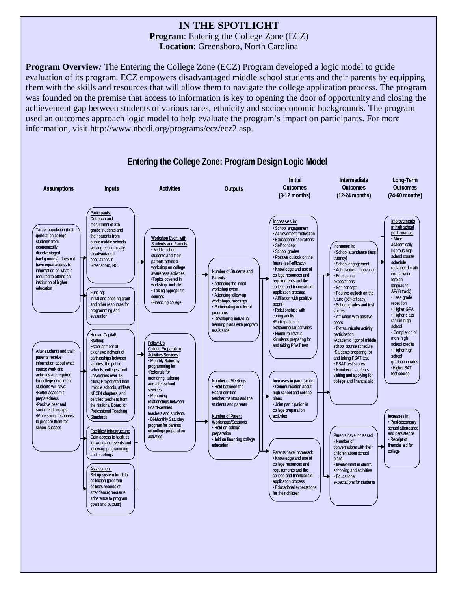# **IN THE SPOTLIGHT**

**Program**: Entering the College Zone (ECZ) **Location**: Greensboro, North Carolina

**Program Overview***:* The Entering the College Zone (ECZ) Program developed a logic model to guide evaluation of its program. ECZ empowers disadvantaged middle school students and their parents by equipping them with the skills and resources that will allow them to navigate the college application process. The program was founded on the premise that access to information is key to opening the door of opportunity and closing the achievement gap between students of various races, ethnicity and socioeconomic backgrounds. The program used an outcomes approach logic model to help evaluate the program's impact on participants. For more information, visit [http://www.nbcdi.org/programs/ecz/ecz2.asp.](http://www.nbcdi.org/programs/ecz/ecz2.asp)